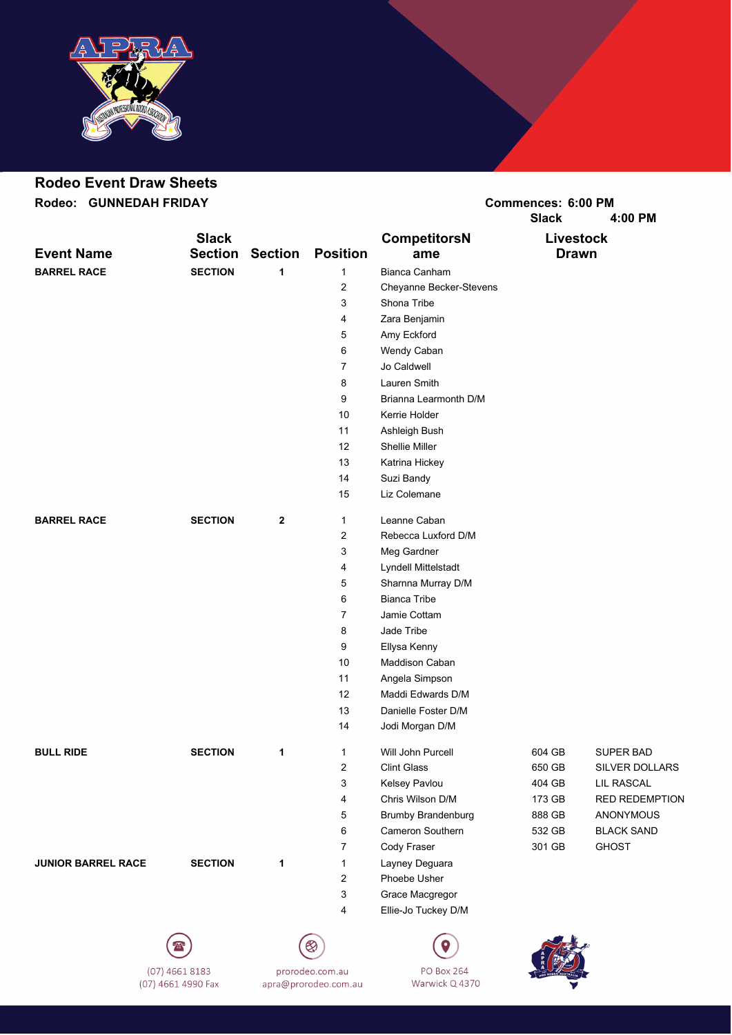

## **Rodeo Event Draw Sheets**

**Rodeo: GUNNEDAH FRIDAY Commences: 6:00 PM**

**Slack CompetitorsN Livestock Event Name Section Section Position ame Drawn BARREL RACE SECTION 1** 1 Bianca Canham Cheyanne Becker-Stevens Shona Tribe Zara Benjamin Amy Eckford Wendy Caban Jo Caldwell Lauren Smith Brianna Learmonth D/M Kerrie Holder Ashleigh Bush Shellie Miller Katrina Hickey Suzi Bandy Liz Colemane **BARREL RACE SECTION 2** 1 Leanne Caban Rebecca Luxford D/M Meg Gardner Lyndell Mittelstadt Sharnna Murray D/M Bianca Tribe Jamie Cottam Jade Tribe Ellysa Kenny Maddison Caban Angela Simpson Maddi Edwards D/M Danielle Foster D/M Jodi Morgan D/M **BULL RIDE SECTION 1** 1 Will John Purcell 604 GB SUPER BAD 2 Clint Glass 650 GB SILVER DOLLARS 3 Kelsey Pavlou 404 GB LIL RASCAL 4 Chris Wilson D/M 173 GB RED REDEMPTION Brumby Brandenburg 888 GB ANONYMOUS Cameron Southern 532 GB BLACK SAND 7 Cody Fraser 301 GB GHOST **JUNIOR BARREL RACE SECTION 1** 1 Layney Deguara Phoebe Usher Grace Macgregor Ellie-Jo Tuckey D/M





**PO Box 264** Warwick Q 4370



**Slack 4:00 PM**